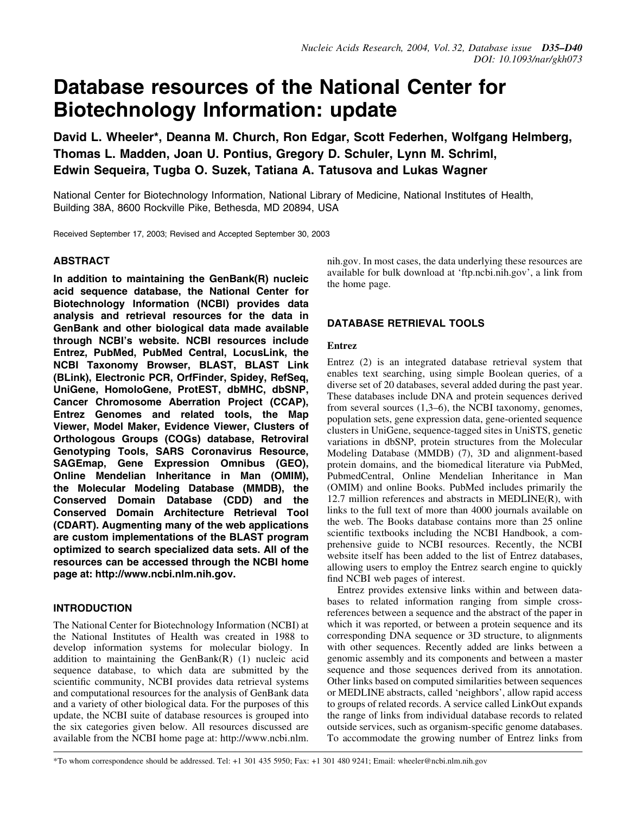# Database resources of the National Center for Biotechnology Information: update

David L. Wheeler\*, Deanna M. Church, Ron Edgar, Scott Federhen, Wolfgang Helmberg, Thomas L. Madden, Joan U. Pontius, Gregory D. Schuler, Lynn M. Schriml, Edwin Sequeira, Tugba O. Suzek, Tatiana A. Tatusova and Lukas Wagner

National Center for Biotechnology Information, National Library of Medicine, National Institutes of Health, Building 38A, 8600 Rockville Pike, Bethesda, MD 20894, USA

Received September 17, 2003; Revised and Accepted September 30, 2003

# **ABSTRACT**

In addition to maintaining the GenBank(R) nucleic acid sequence database, the National Center for Biotechnology Information (NCBI) provides data analysis and retrieval resources for the data in GenBank and other biological data made available through NCBI's website. NCBI resources include Entrez, PubMed, PubMed Central, LocusLink, the NCBI Taxonomy Browser, BLAST, BLAST Link (BLink), Electronic PCR, OrfFinder, Spidey, RefSeq, UniGene, HomoloGene, ProtEST, dbMHC, dbSNP, Cancer Chromosome Aberration Project (CCAP), Entrez Genomes and related tools, the Map Viewer, Model Maker, Evidence Viewer, Clusters of Orthologous Groups (COGs) database, Retroviral Genotyping Tools, SARS Coronavirus Resource, SAGEmap, Gene Expression Omnibus (GEO), Online Mendelian Inheritance in Man (OMIM), the Molecular Modeling Database (MMDB), the Conserved Domain Database (CDD) and the Conserved Domain Architecture Retrieval Tool (CDART). Augmenting many of the web applications are custom implementations of the BLAST program optimized to search specialized data sets. All of the resources can be accessed through the NCBI home page at: http://www.ncbi.nlm.nih.gov.

# INTRODUCTION

The National Center for Biotechnology Information (NCBI) at the National Institutes of Health was created in 1988 to develop information systems for molecular biology. In addition to maintaining the  $GenBank(R)$  (1) nucleic acid sequence database, to which data are submitted by the scientific community, NCBI provides data retrieval systems and computational resources for the analysis of GenBank data and a variety of other biological data. For the purposes of this update, the NCBI suite of database resources is grouped into the six categories given below. All resources discussed are available from the NCBI home page at: http://www.ncbi.nlm. nih.gov. In most cases, the data underlying these resources are available for bulk download at `ftp.ncbi.nih.gov', a link from the home page.

# DATABASE RETRIEVAL TOOLS

# Entrez

Entrez (2) is an integrated database retrieval system that enables text searching, using simple Boolean queries, of a diverse set of 20 databases, several added during the past year. These databases include DNA and protein sequences derived from several sources  $(1,3-6)$ , the NCBI taxonomy, genomes, population sets, gene expression data, gene-oriented sequence clusters in UniGene, sequence-tagged sites in UniSTS, genetic variations in dbSNP, protein structures from the Molecular Modeling Database (MMDB) (7), 3D and alignment-based protein domains, and the biomedical literature via PubMed, PubmedCentral, Online Mendelian Inheritance in Man (OMIM) and online Books. PubMed includes primarily the  $12.7$  million references and abstracts in MEDLINE(R), with links to the full text of more than 4000 journals available on the web. The Books database contains more than 25 online scientific textbooks including the NCBI Handbook, a comprehensive guide to NCBI resources. Recently, the NCBI website itself has been added to the list of Entrez databases, allowing users to employ the Entrez search engine to quickly find NCBI web pages of interest.

Entrez provides extensive links within and between databases to related information ranging from simple crossreferences between a sequence and the abstract of the paper in which it was reported, or between a protein sequence and its corresponding DNA sequence or 3D structure, to alignments with other sequences. Recently added are links between a genomic assembly and its components and between a master sequence and those sequences derived from its annotation. Other links based on computed similarities between sequences or MEDLINE abstracts, called `neighbors', allow rapid access to groups of related records. A service called LinkOut expands the range of links from individual database records to related outside services, such as organism-specific genome databases. To accommodate the growing number of Entrez links from

\*To whom correspondence should be addressed. Tel: +1 301 435 5950; Fax: +1 301 480 9241; Email: wheeler@ncbi.nlm.nih.gov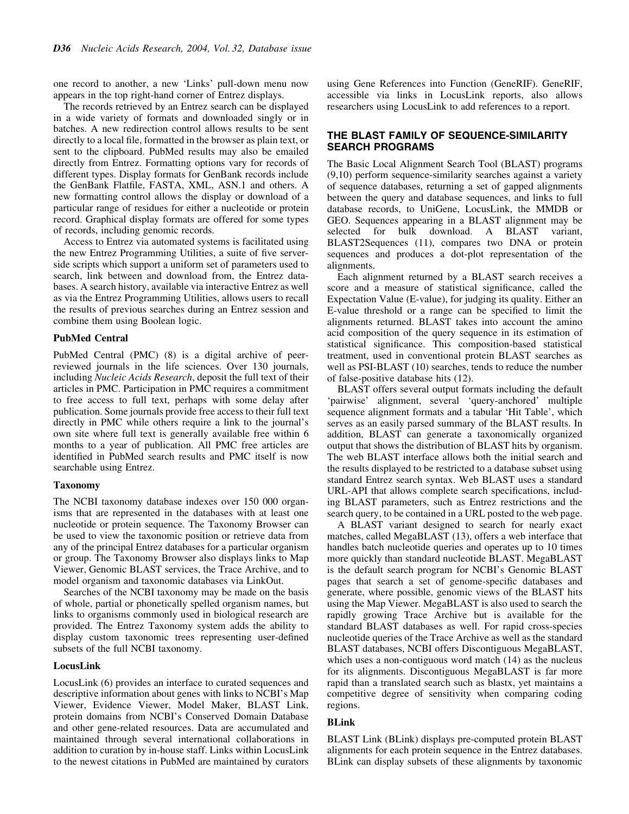one record to another, a new `Links' pull-down menu now appears in the top right-hand corner of Entrez displays.

The records retrieved by an Entrez search can be displayed in a wide variety of formats and downloaded singly or in batches. A new redirection control allows results to be sent directly to a local file, formatted in the browser as plain text, or sent to the clipboard. PubMed results may also be emailed directly from Entrez. Formatting options vary for records of different types. Display formats for GenBank records include the GenBank Flatfile, FASTA, XML, ASN.1 and others. A new formatting control allows the display or download of a particular range of residues for either a nucleotide or protein record. Graphical display formats are offered for some types of records, including genomic records.

Access to Entrez via automated systems is facilitated using the new Entrez Programming Utilities, a suite of five serverside scripts which support a uniform set of parameters used to search, link between and download from, the Entrez databases. A search history, available via interactive Entrez as well as via the Entrez Programming Utilities, allows users to recall the results of previous searches during an Entrez session and combine them using Boolean logic.

## PubMed Central

PubMed Central (PMC) (8) is a digital archive of peerreviewed journals in the life sciences. Over 130 journals, including Nucleic Acids Research, deposit the full text of their articles in PMC. Participation in PMC requires a commitment to free access to full text, perhaps with some delay after publication. Some journals provide free access to their full text directly in PMC while others require a link to the journal's own site where full text is generally available free within 6 months to a year of publication. All PMC free articles are identified in PubMed search results and PMC itself is now searchable using Entrez.

#### Taxonomy

The NCBI taxonomy database indexes over 150 000 organisms that are represented in the databases with at least one nucleotide or protein sequence. The Taxonomy Browser can be used to view the taxonomic position or retrieve data from any of the principal Entrez databases for a particular organism or group. The Taxonomy Browser also displays links to Map Viewer, Genomic BLAST services, the Trace Archive, and to model organism and taxonomic databases via LinkOut.

Searches of the NCBI taxonomy may be made on the basis of whole, partial or phonetically spelled organism names, but links to organisms commonly used in biological research are provided. The Entrez Taxonomy system adds the ability to display custom taxonomic trees representing user-defined subsets of the full NCBI taxonomy.

#### LocusLink

LocusLink (6) provides an interface to curated sequences and descriptive information about genes with links to NCBI's Map Viewer, Evidence Viewer, Model Maker, BLAST Link, protein domains from NCBI's Conserved Domain Database and other gene-related resources. Data are accumulated and maintained through several international collaborations in addition to curation by in-house staff. Links within LocusLink to the newest citations in PubMed are maintained by curators using Gene References into Function (GeneRIF). GeneRIF, accessible via links in LocusLink reports, also allows researchers using LocusLink to add references to a report.

# THE BLAST FAMILY OF SEQUENCE-SIMILARITY SEARCH PROGRAMS

The Basic Local Alignment Search Tool (BLAST) programs (9,10) perform sequence-similarity searches against a variety of sequence databases, returning a set of gapped alignments between the query and database sequences, and links to full database records, to UniGene, LocusLink, the MMDB or GEO. Sequences appearing in a BLAST alignment may be selected for bulk download. A BLAST variant, BLAST2Sequences (11), compares two DNA or protein sequences and produces a dot-plot representation of the alignments.

Each alignment returned by a BLAST search receives a score and a measure of statistical significance, called the Expectation Value (E-value), for judging its quality. Either an E-value threshold or a range can be specified to limit the alignments returned. BLAST takes into account the amino acid composition of the query sequence in its estimation of statistical significance. This composition-based statistical treatment, used in conventional protein BLAST searches as well as PSI-BLAST (10) searches, tends to reduce the number of false-positive database hits (12).

BLAST offers several output formats including the default `pairwise' alignment, several `query-anchored' multiple sequence alignment formats and a tabular 'Hit Table', which serves as an easily parsed summary of the BLAST results. In addition, BLAST can generate a taxonomically organized output that shows the distribution of BLAST hits by organism. The web BLAST interface allows both the initial search and the results displayed to be restricted to a database subset using standard Entrez search syntax. Web BLAST uses a standard URL-API that allows complete search specifications, including BLAST parameters, such as Entrez restrictions and the search query, to be contained in a URL posted to the web page.

A BLAST variant designed to search for nearly exact matches, called MegaBLAST (13), offers a web interface that handles batch nucleotide queries and operates up to 10 times more quickly than standard nucleotide BLAST. MegaBLAST is the default search program for NCBI's Genomic BLAST pages that search a set of genome-specific databases and generate, where possible, genomic views of the BLAST hits using the Map Viewer. MegaBLAST is also used to search the rapidly growing Trace Archive but is available for the standard BLAST databases as well. For rapid cross-species nucleotide queries of the Trace Archive as well as the standard BLAST databases, NCBI offers Discontiguous MegaBLAST, which uses a non-contiguous word match  $(14)$  as the nucleus for its alignments. Discontiguous MegaBLAST is far more rapid than a translated search such as blastx, yet maintains a competitive degree of sensitivity when comparing coding regions.

## BLink

BLAST Link (BLink) displays pre-computed protein BLAST alignments for each protein sequence in the Entrez databases. BLink can display subsets of these alignments by taxonomic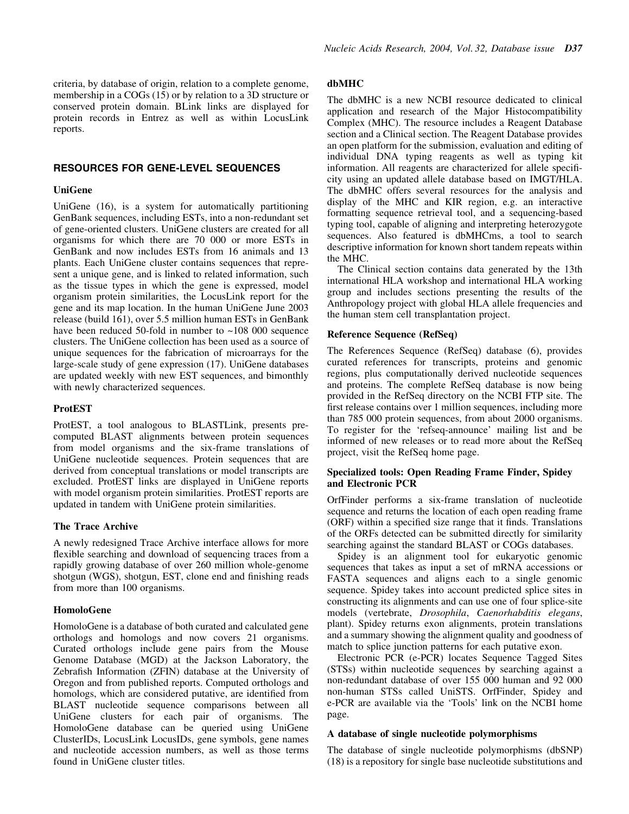criteria, by database of origin, relation to a complete genome, membership in a COGs (15) or by relation to a 3D structure or conserved protein domain. BLink links are displayed for protein records in Entrez as well as within LocusLink reports.

# RESOURCES FOR GENE-LEVEL SEQUENCES

## UniGene

UniGene (16), is a system for automatically partitioning GenBank sequences, including ESTs, into a non-redundant set of gene-oriented clusters. UniGene clusters are created for all organisms for which there are 70 000 or more ESTs in GenBank and now includes ESTs from 16 animals and 13 plants. Each UniGene cluster contains sequences that represent a unique gene, and is linked to related information, such as the tissue types in which the gene is expressed, model organism protein similarities, the LocusLink report for the gene and its map location. In the human UniGene June 2003 release (build 161), over 5.5 million human ESTs in GenBank have been reduced 50-fold in number to ~108 000 sequence clusters. The UniGene collection has been used as a source of unique sequences for the fabrication of microarrays for the large-scale study of gene expression (17). UniGene databases are updated weekly with new EST sequences, and bimonthly with newly characterized sequences.

## ProtEST

ProtEST, a tool analogous to BLASTLink, presents precomputed BLAST alignments between protein sequences from model organisms and the six-frame translations of UniGene nucleotide sequences. Protein sequences that are derived from conceptual translations or model transcripts are excluded. ProtEST links are displayed in UniGene reports with model organism protein similarities. ProtEST reports are updated in tandem with UniGene protein similarities.

## The Trace Archive

A newly redesigned Trace Archive interface allows for more flexible searching and download of sequencing traces from a rapidly growing database of over 260 million whole-genome shotgun (WGS), shotgun, EST, clone end and finishing reads from more than 100 organisms.

## HomoloGene

HomoloGene is a database of both curated and calculated gene orthologs and homologs and now covers 21 organisms. Curated orthologs include gene pairs from the Mouse Genome Database (MGD) at the Jackson Laboratory, the Zebrafish Information (ZFIN) database at the University of Oregon and from published reports. Computed orthologs and homologs, which are considered putative, are identified from BLAST nucleotide sequence comparisons between all UniGene clusters for each pair of organisms. The HomoloGene database can be queried using UniGene ClusterIDs, LocusLink LocusIDs, gene symbols, gene names and nucleotide accession numbers, as well as those terms found in UniGene cluster titles.

## dbMHC

The dbMHC is a new NCBI resource dedicated to clinical application and research of the Major Histocompatibility Complex (MHC). The resource includes a Reagent Database section and a Clinical section. The Reagent Database provides an open platform for the submission, evaluation and editing of individual DNA typing reagents as well as typing kit information. All reagents are characterized for allele specificity using an updated allele database based on IMGT/HLA. The dbMHC offers several resources for the analysis and display of the MHC and KIR region, e.g. an interactive formatting sequence retrieval tool, and a sequencing-based typing tool, capable of aligning and interpreting heterozygote sequences. Also featured is dbMHCms, a tool to search descriptive information for known short tandem repeats within the MHC.

The Clinical section contains data generated by the 13th international HLA workshop and international HLA working group and includes sections presenting the results of the Anthropology project with global HLA allele frequencies and the human stem cell transplantation project.

#### Reference Sequence (RefSeq)

The References Sequence (RefSeq) database (6), provides curated references for transcripts, proteins and genomic regions, plus computationally derived nucleotide sequences and proteins. The complete RefSeq database is now being provided in the RefSeq directory on the NCBI FTP site. The first release contains over 1 million sequences, including more than 785 000 protein sequences, from about 2000 organisms. To register for the `refseq-announce' mailing list and be informed of new releases or to read more about the RefSeq project, visit the RefSeq home page.

# Specialized tools: Open Reading Frame Finder, Spidey and Electronic PCR

OrfFinder performs a six-frame translation of nucleotide sequence and returns the location of each open reading frame (ORF) within a specified size range that it finds. Translations of the ORFs detected can be submitted directly for similarity searching against the standard BLAST or COGs databases.

Spidey is an alignment tool for eukaryotic genomic sequences that takes as input a set of mRNA accessions or FASTA sequences and aligns each to a single genomic sequence. Spidey takes into account predicted splice sites in constructing its alignments and can use one of four splice-site models (vertebrate, Drosophila, Caenorhabditis elegans, plant). Spidey returns exon alignments, protein translations and a summary showing the alignment quality and goodness of match to splice junction patterns for each putative exon.

Electronic PCR (e-PCR) locates Sequence Tagged Sites (STSs) within nucleotide sequences by searching against a non-redundant database of over 155 000 human and 92 000 non-human STSs called UniSTS. OrfFinder, Spidey and e-PCR are available via the `Tools' link on the NCBI home page.

## A database of single nucleotide polymorphisms

The database of single nucleotide polymorphisms (dbSNP) (18) is a repository for single base nucleotide substitutions and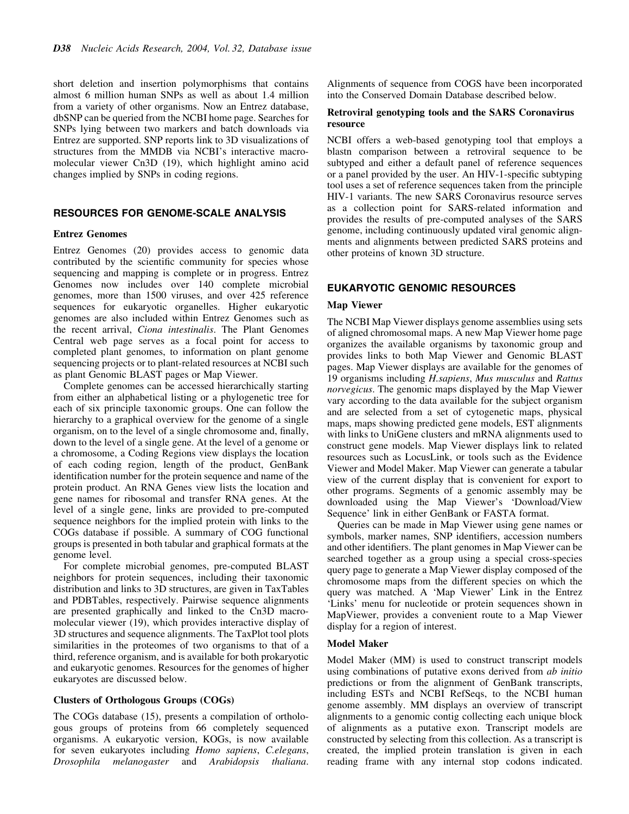short deletion and insertion polymorphisms that contains almost 6 million human SNPs as well as about 1.4 million from a variety of other organisms. Now an Entrez database, dbSNP can be queried from the NCBI home page. Searches for SNPs lying between two markers and batch downloads via Entrez are supported. SNP reports link to 3D visualizations of structures from the MMDB via NCBI's interactive macromolecular viewer Cn3D (19), which highlight amino acid changes implied by SNPs in coding regions.

# RESOURCES FOR GENOME-SCALE ANALYSIS

### Entrez Genomes

Entrez Genomes (20) provides access to genomic data contributed by the scientific community for species whose sequencing and mapping is complete or in progress. Entrez Genomes now includes over 140 complete microbial genomes, more than 1500 viruses, and over 425 reference sequences for eukaryotic organelles. Higher eukaryotic genomes are also included within Entrez Genomes such as the recent arrival, Ciona intestinalis. The Plant Genomes Central web page serves as a focal point for access to completed plant genomes, to information on plant genome sequencing projects or to plant-related resources at NCBI such as plant Genomic BLAST pages or Map Viewer.

Complete genomes can be accessed hierarchically starting from either an alphabetical listing or a phylogenetic tree for each of six principle taxonomic groups. One can follow the hierarchy to a graphical overview for the genome of a single organism, on to the level of a single chromosome and, finally, down to the level of a single gene. At the level of a genome or a chromosome, a Coding Regions view displays the location of each coding region, length of the product, GenBank identification number for the protein sequence and name of the protein product. An RNA Genes view lists the location and gene names for ribosomal and transfer RNA genes. At the level of a single gene, links are provided to pre-computed sequence neighbors for the implied protein with links to the COGs database if possible. A summary of COG functional groups is presented in both tabular and graphical formats at the genome level.

For complete microbial genomes, pre-computed BLAST neighbors for protein sequences, including their taxonomic distribution and links to 3D structures, are given in TaxTables and PDBTables, respectively. Pairwise sequence alignments are presented graphically and linked to the Cn3D macromolecular viewer (19), which provides interactive display of 3D structures and sequence alignments. The TaxPlot tool plots similarities in the proteomes of two organisms to that of a third, reference organism, and is available for both prokaryotic and eukaryotic genomes. Resources for the genomes of higher eukaryotes are discussed below.

## Clusters of Orthologous Groups (COGs)

The COGs database (15), presents a compilation of orthologous groups of proteins from 66 completely sequenced organisms. A eukaryotic version, KOGs, is now available for seven eukaryotes including Homo sapiens, C.elegans, Drosophila melanogaster and Arabidopsis thaliana. Alignments of sequence from COGS have been incorporated into the Conserved Domain Database described below.

# Retroviral genotyping tools and the SARS Coronavirus resource

NCBI offers a web-based genotyping tool that employs a blastn comparison between a retroviral sequence to be subtyped and either a default panel of reference sequences or a panel provided by the user. An HIV-1-specific subtyping tool uses a set of reference sequences taken from the principle HIV-1 variants. The new SARS Coronavirus resource serves as a collection point for SARS-related information and provides the results of pre-computed analyses of the SARS genome, including continuously updated viral genomic alignments and alignments between predicted SARS proteins and other proteins of known 3D structure.

## EUKARYOTIC GENOMIC RESOURCES

### Map Viewer

The NCBI Map Viewer displays genome assemblies using sets of aligned chromosomal maps. A new Map Viewer home page organizes the available organisms by taxonomic group and provides links to both Map Viewer and Genomic BLAST pages. Map Viewer displays are available for the genomes of 19 organisms including H.sapiens, Mus musculus and Rattus norvegicus. The genomic maps displayed by the Map Viewer vary according to the data available for the subject organism and are selected from a set of cytogenetic maps, physical maps, maps showing predicted gene models, EST alignments with links to UniGene clusters and mRNA alignments used to construct gene models. Map Viewer displays link to related resources such as LocusLink, or tools such as the Evidence Viewer and Model Maker. Map Viewer can generate a tabular view of the current display that is convenient for export to other programs. Segments of a genomic assembly may be downloaded using the Map Viewer's `Download/View Sequence' link in either GenBank or FASTA format.

Queries can be made in Map Viewer using gene names or symbols, marker names, SNP identifiers, accession numbers and other identifiers. The plant genomes in Map Viewer can be searched together as a group using a special cross-species query page to generate a Map Viewer display composed of the chromosome maps from the different species on which the query was matched. A `Map Viewer' Link in the Entrez `Links' menu for nucleotide or protein sequences shown in MapViewer, provides a convenient route to a Map Viewer display for a region of interest.

# Model Maker

Model Maker (MM) is used to construct transcript models using combinations of putative exons derived from *ab initio* predictions or from the alignment of GenBank transcripts, including ESTs and NCBI RefSeqs, to the NCBI human genome assembly. MM displays an overview of transcript alignments to a genomic contig collecting each unique block of alignments as a putative exon. Transcript models are constructed by selecting from this collection. As a transcript is created, the implied protein translation is given in each reading frame with any internal stop codons indicated.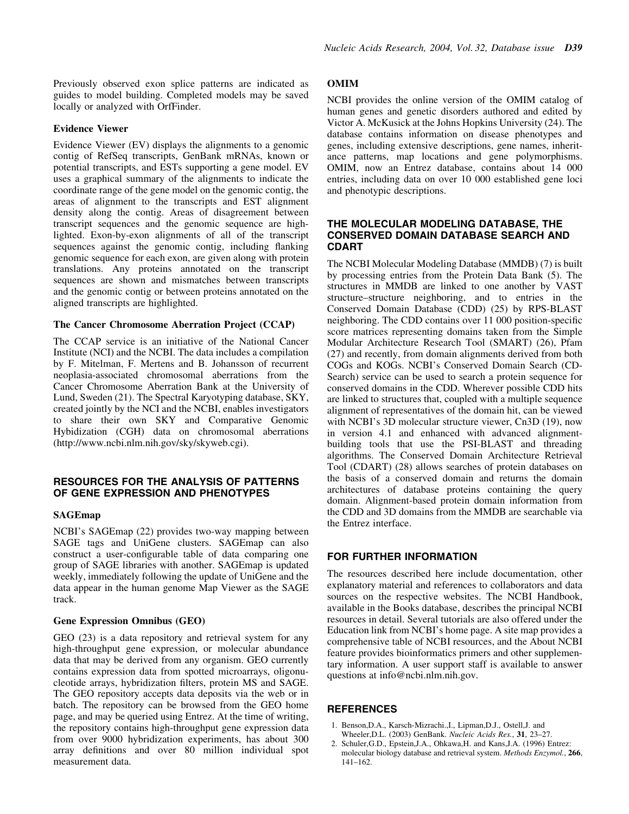Previously observed exon splice patterns are indicated as guides to model building. Completed models may be saved locally or analyzed with OrfFinder.

## Evidence Viewer

Evidence Viewer (EV) displays the alignments to a genomic contig of RefSeq transcripts, GenBank mRNAs, known or potential transcripts, and ESTs supporting a gene model. EV uses a graphical summary of the alignments to indicate the coordinate range of the gene model on the genomic contig, the areas of alignment to the transcripts and EST alignment density along the contig. Areas of disagreement between transcript sequences and the genomic sequence are highlighted. Exon-by-exon alignments of all of the transcript sequences against the genomic contig, including flanking genomic sequence for each exon, are given along with protein translations. Any proteins annotated on the transcript sequences are shown and mismatches between transcripts and the genomic contig or between proteins annotated on the aligned transcripts are highlighted.

## The Cancer Chromosome Aberration Project (CCAP)

The CCAP service is an initiative of the National Cancer Institute (NCI) and the NCBI. The data includes a compilation by F. Mitelman, F. Mertens and B. Johansson of recurrent neoplasia-associated chromosomal aberrations from the Cancer Chromosome Aberration Bank at the University of Lund, Sweden (21). The Spectral Karyotyping database, SKY, created jointly by the NCI and the NCBI, enables investigators to share their own SKY and Comparative Genomic Hybidization (CGH) data on chromosomal aberrations (http://www.ncbi.nlm.nih.gov/sky/skyweb.cgi).

# RESOURCES FOR THE ANALYSIS OF PATTERNS OF GENE EXPRESSION AND PHENOTYPES

## SAGEmap

NCBI's SAGEmap (22) provides two-way mapping between SAGE tags and UniGene clusters. SAGEmap can also construct a user-configurable table of data comparing one group of SAGE libraries with another. SAGEmap is updated weekly, immediately following the update of UniGene and the data appear in the human genome Map Viewer as the SAGE track.

### Gene Expression Omnibus (GEO)

GEO (23) is a data repository and retrieval system for any high-throughput gene expression, or molecular abundance data that may be derived from any organism. GEO currently contains expression data from spotted microarrays, oligonucleotide arrays, hybridization filters, protein MS and SAGE. The GEO repository accepts data deposits via the web or in batch. The repository can be browsed from the GEO home page, and may be queried using Entrez. At the time of writing, the repository contains high-throughput gene expression data from over 9000 hybridization experiments, has about 300 array definitions and over 80 million individual spot measurement data.

## **OMIM**

NCBI provides the online version of the OMIM catalog of human genes and genetic disorders authored and edited by Victor A. McKusick at the Johns Hopkins University (24). The database contains information on disease phenotypes and genes, including extensive descriptions, gene names, inheritance patterns, map locations and gene polymorphisms. OMIM, now an Entrez database, contains about 14 000 entries, including data on over 10 000 established gene loci and phenotypic descriptions.

# THE MOLECULAR MODELING DATABASE, THE CONSERVED DOMAIN DATABASE SEARCH AND CDART

The NCBI Molecular Modeling Database (MMDB) (7) is built by processing entries from the Protein Data Bank (5). The structures in MMDB are linked to one another by VAST structure–structure neighboring, and to entries in the Conserved Domain Database (CDD) (25) by RPS-BLAST neighboring. The CDD contains over 11 000 position-specific score matrices representing domains taken from the Simple Modular Architecture Research Tool (SMART) (26), Pfam (27) and recently, from domain alignments derived from both COGs and KOGs. NCBI's Conserved Domain Search (CD-Search) service can be used to search a protein sequence for conserved domains in the CDD. Wherever possible CDD hits are linked to structures that, coupled with a multiple sequence alignment of representatives of the domain hit, can be viewed with NCBI's 3D molecular structure viewer, Cn3D (19), now in version 4.1 and enhanced with advanced alignmentbuilding tools that use the PSI-BLAST and threading algorithms. The Conserved Domain Architecture Retrieval Tool (CDART) (28) allows searches of protein databases on the basis of a conserved domain and returns the domain architectures of database proteins containing the query domain. Alignment-based protein domain information from the CDD and 3D domains from the MMDB are searchable via the Entrez interface.

# FOR FURTHER INFORMATION

The resources described here include documentation, other explanatory material and references to collaborators and data sources on the respective websites. The NCBI Handbook, available in the Books database, describes the principal NCBI resources in detail. Several tutorials are also offered under the Education link from NCBI's home page. A site map provides a comprehensive table of NCBI resources, and the About NCBI feature provides bioinformatics primers and other supplementary information. A user support staff is available to answer questions at info@ncbi.nlm.nih.gov.

# **REFERENCES**

- 1. Benson,D.A., Karsch-Mizrachi.,I., Lipman,D.J., Ostell,J. and Wheeler, D.L. (2003) GenBank. Nucleic Acids Res., 31, 23-27.
- 2. Schuler,G.D., Epstein,J.A., Ohkawa,H. and Kans,J.A. (1996) Entrez: molecular biology database and retrieval system. Methods Enzymol., 266, 141±162.